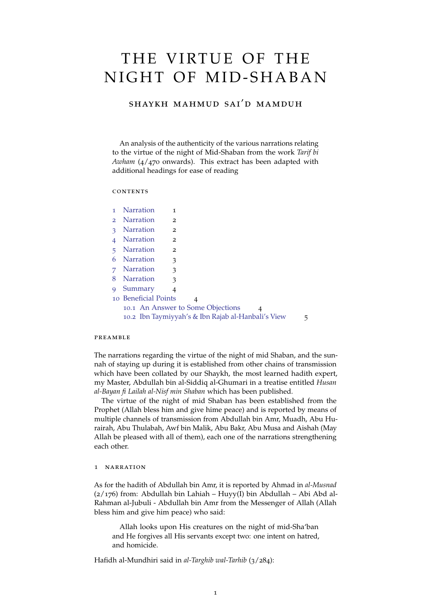# THE VIRTUE OF THE NIGHT OF MID-SHABAN

## shaykh mahmud sai'd mamduh

An analysis of the authenticity of the various narrations relating to the virtue of the night of Mid-Shaban from the work *Tarif bi Awham* (4/470 onwards). This extract has been adapted with additional headings for ease of reading

## **CONTENTS**

| 1             | <b>Narration</b>                                                    | 1 |  |
|---------------|---------------------------------------------------------------------|---|--|
| $\mathcal{P}$ | <b>Narration</b>                                                    | 2 |  |
| 3             | <b>Narration</b>                                                    | 2 |  |
|               | <b>Narration</b>                                                    | 2 |  |
| 5             | <b>Narration</b>                                                    | 2 |  |
| 6             | <b>Narration</b>                                                    | 3 |  |
| 7             | <b>Narration</b>                                                    | 3 |  |
| 8             | <b>Narration</b>                                                    | 3 |  |
| 9             | Summary                                                             | 4 |  |
|               | 10 Beneficial Points<br>4<br>10.1 An Answer to Some Objections<br>4 |   |  |
|               |                                                                     |   |  |
|               | 10.2 Ibn Taymiyyah's & Ibn Rajab al-Hanbali's View<br>5             |   |  |

## preamble

The narrations regarding the virtue of the night of mid Shaban, and the sunnah of staying up during it is established from other chains of transmission which have been collated by our Shaykh, the most learned hadith expert, my Master, Abdullah bin al-Siddiq al-Ghumari in a treatise entitled *Husan al-Bayan fi Lailah al-Nisf min Shaban* which has been published.

The virtue of the night of mid Shaban has been established from the Prophet (Allah bless him and give hime peace) and is reported by means of multiple channels of transmission from Abdullah bin Amr, Muadh, Abu Hurairah, Abu Thulabah, Awf bin Malik, Abu Bakr, Abu Musa and Aishah (May Allah be pleased with all of them), each one of the narrations strengthening each other.

#### <span id="page-0-0"></span>1 narration

As for the hadith of Abdullah bin Amr, it is reported by Ahmad in *al-Musnad* (2/176) from: Abdullah bin Lahiah – Huyy(I) bin Abdullah – Abi Abd al-Rahman al-Jubuli - Abdullah bin Amr from the Messenger of Allah (Allah bless him and give him peace) who said:

Allah looks upon His creatures on the night of mid-Sha'ban and He forgives all His servants except two: one intent on hatred, and homicide.

Hafidh al-Mundhiri said in *al-Targhib wal-Tarhib* (3/284):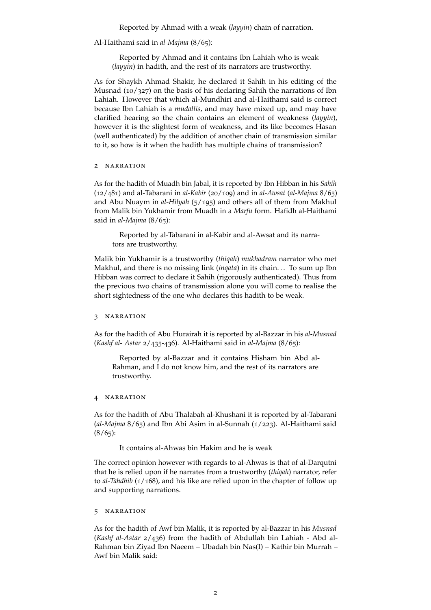Reported by Ahmad with a weak (*layyin*) chain of narration.

Al-Haithami said in *al-Majma* (8/65):

Reported by Ahmad and it contains Ibn Lahiah who is weak (*layyin*) in hadith, and the rest of its narrators are trustworthy.

As for Shaykh Ahmad Shakir, he declared it Sahih in his editing of the Musnad (10/327) on the basis of his declaring Sahih the narrations of Ibn Lahiah. However that which al-Mundhiri and al-Haithami said is correct because Ibn Lahiah is a *mudallis*, and may have mixed up, and may have clarified hearing so the chain contains an element of weakness (*layyin*), however it is the slightest form of weakness, and its like becomes Hasan (well authenticated) by the addition of another chain of transmission similar to it, so how is it when the hadith has multiple chains of transmission?

## <span id="page-1-0"></span>2 narration

As for the hadith of Muadh bin Jabal, it is reported by Ibn Hibban in his *Sahih* (12/481) and al-Tabarani in *al-Kabir* (20/109) and in *al-Awsat* (*al-Majma* 8/65) and Abu Nuaym in *al-Hilyah* (5/195) and others all of them from Makhul from Malik bin Yukhamir from Muadh in a *Marfu* form. Hafidh al-Haithami said in *al-Majma* (8/65):

Reported by al-Tabarani in al-Kabir and al-Awsat and its narrators are trustworthy.

Malik bin Yukhamir is a trustworthy (*thiqah*) *mukhadram* narrator who met Makhul, and there is no missing link (*inqata*) in its chain. . . To sum up Ibn Hibban was correct to declare it Sahih (rigorously authenticated). Thus from the previous two chains of transmission alone you will come to realise the short sightedness of the one who declares this hadith to be weak.

## <span id="page-1-1"></span>3 narration

As for the hadith of Abu Hurairah it is reported by al-Bazzar in his *al-Musnad* (*Kashf al- Astar* 2/435-436). Al-Haithami said in *al-Majma* (8/65):

Reported by al-Bazzar and it contains Hisham bin Abd al-Rahman, and I do not know him, and the rest of its narrators are trustworthy.

## <span id="page-1-2"></span>4 NARRATION

As for the hadith of Abu Thalabah al-Khushani it is reported by al-Tabarani (*al-Majma* 8/65) and Ibn Abi Asim in al-Sunnah (1/223). Al-Haithami said  $(8/65)$ :

It contains al-Ahwas bin Hakim and he is weak

The correct opinion however with regards to al-Ahwas is that of al-Darqutni that he is relied upon if he narrates from a trustworthy (*thiqah*) narrator, refer to *al-Tahdhib* (1/168), and his like are relied upon in the chapter of follow up and supporting narrations.

## <span id="page-1-3"></span>5 narration

As for the hadith of Awf bin Malik, it is reported by al-Bazzar in his *Musnad* (*Kashf al-Astar* 2/436) from the hadith of Abdullah bin Lahiah - Abd al-Rahman bin Ziyad Ibn Naeem – Ubadah bin Nas(I) – Kathir bin Murrah – Awf bin Malik said: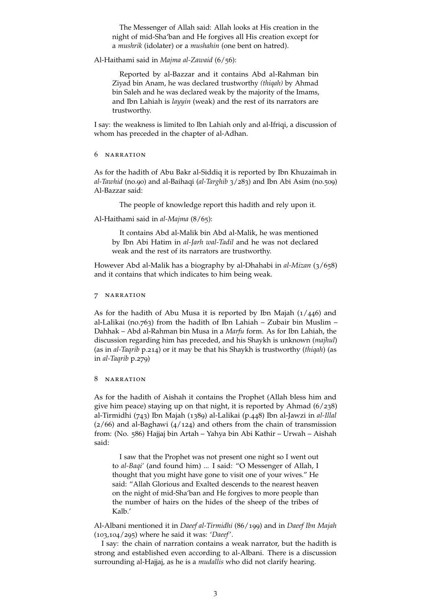The Messenger of Allah said: Allah looks at His creation in the night of mid-Sha'ban and He forgives all His creation except for a *mushrik* (idolater) or a *mushahin* (one bent on hatred).

Al-Haithami said in *Majma al-Zawaid* (6/56):

Reported by al-Bazzar and it contains Abd al-Rahman bin Ziyad bin Anam, he was declared trustworthy *(thiqah)* by Ahmad bin Saleh and he was declared weak by the majority of the Imams, and Ibn Lahiah is *layyin* (weak) and the rest of its narrators are trustworthy.

I say: the weakness is limited to Ibn Lahiah only and al-Ifriqi, a discussion of whom has preceded in the chapter of al-Adhan.

## <span id="page-2-0"></span>6 narration

As for the hadith of Abu Bakr al-Siddiq it is reported by Ibn Khuzaimah in *al-Tawhid* (no.90) and al-Baihaqi (*al-Targhib* 3/283) and Ibn Abi Asim (no.509) Al-Bazzar said:

The people of knowledge report this hadith and rely upon it.

Al-Haithami said in *al-Majma* (8/65):

It contains Abd al-Malik bin Abd al-Malik, he was mentioned by Ibn Abi Hatim in *al-Jarh wal-Tadil* and he was not declared weak and the rest of its narrators are trustworthy.

However Abd al-Malik has a biography by al-Dhahabi in *al-Mizan* (3/658) and it contains that which indicates to him being weak.

## <span id="page-2-1"></span>7 narration

As for the hadith of Abu Musa it is reported by Ibn Majah  $(1/446)$  and al-Lalikai (no.763) from the hadith of Ibn Lahiah – Zubair bin Muslim – Dahhak – Abd al-Rahman bin Musa in a *Marfu* form. As for Ibn Lahiah, the discussion regarding him has preceded, and his Shaykh is unknown (*majhul*) (as in *al-Taqrib* p.214) or it may be that his Shaykh is trustworthy (*thiqah*) (as in *al-Taqrib* p.279)

## <span id="page-2-2"></span>8 narration

As for the hadith of Aishah it contains the Prophet (Allah bless him and give him peace) staying up on that night, it is reported by Ahmad (6/238) al-Tirmidhi (743) Ibn Majah (1389) al-Lalikai (p.448) Ibn al-Jawzi in *al-Illal*  $(2/66)$  and al-Baghawi  $(4/124)$  and others from the chain of transmission from: (No. 586) Hajjaj bin Artah – Yahya bin Abi Kathir – Urwah – Aishah said:

I saw that the Prophet was not present one night so I went out to *al-Baqi'* (and found him) ... I said: "O Messenger of Allah, I thought that you might have gone to visit one of your wives." He said: "Allah Glorious and Exalted descends to the nearest heaven on the night of mid-Sha'ban and He forgives to more people than the number of hairs on the hides of the sheep of the tribes of Kalb.'

Al-Albani mentioned it in *Daeef al-Tirmidhi* (86/199) and in *Daeef Ibn Majah* (103,104/295) where he said it was: '*Daeef*'.

I say: the chain of narration contains a weak narrator, but the hadith is strong and established even according to al-Albani. There is a discussion surrounding al-Hajjaj, as he is a *mudallis* who did not clarify hearing.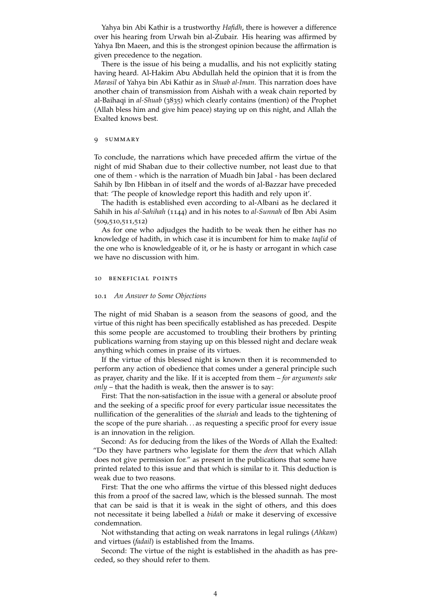Yahya bin Abi Kathir is a trustworthy *Hafidh*, there is however a difference over his hearing from Urwah bin al-Zubair. His hearing was affirmed by Yahya Ibn Maeen, and this is the strongest opinion because the affirmation is given precedence to the negation.

There is the issue of his being a mudallis, and his not explicitly stating having heard. Al-Hakim Abu Abdullah held the opinion that it is from the *Marasil* of Yahya bin Abi Kathir as in *Shuab al-Iman*. This narration does have another chain of transmission from Aishah with a weak chain reported by al-Baihaqi in *al-Shuab* (3835) which clearly contains (mention) of the Prophet (Allah bless him and give him peace) staying up on this night, and Allah the Exalted knows best.

## <span id="page-3-0"></span>9 summary

To conclude, the narrations which have preceded affirm the virtue of the night of mid Shaban due to their collective number, not least due to that one of them - which is the narration of Muadh bin Jabal - has been declared Sahih by Ibn Hibban in of itself and the words of al-Bazzar have preceded that: 'The people of knowledge report this hadith and rely upon it'.

The hadith is established even according to al-Albani as he declared it Sahih in his *al-Sahihah* (1144) and in his notes to *al-Sunnah* of Ibn Abi Asim (509,510,511,512)

As for one who adjudges the hadith to be weak then he either has no knowledge of hadith, in which case it is incumbent for him to make *taqlid* of the one who is knowledgeable of it, or he is hasty or arrogant in which case we have no discussion with him.

## <span id="page-3-1"></span>10 beneficial points

## <span id="page-3-2"></span>10.1 *An Answer to Some Objections*

The night of mid Shaban is a season from the seasons of good, and the virtue of this night has been specifically established as has preceded. Despite this some people are accustomed to troubling their brothers by printing publications warning from staying up on this blessed night and declare weak anything which comes in praise of its virtues.

If the virtue of this blessed night is known then it is recommended to perform any action of obedience that comes under a general principle such as prayer, charity and the like. If it is accepted from them – *for arguments sake only* – that the hadith is weak, then the answer is to say:

First: That the non-satisfaction in the issue with a general or absolute proof and the seeking of a specific proof for every particular issue necessitates the nullification of the generalities of the *shariah* and leads to the tightening of the scope of the pure shariah. . . as requesting a specific proof for every issue is an innovation in the religion.

Second: As for deducing from the likes of the Words of Allah the Exalted: "Do they have partners who legislate for them the *deen* that which Allah does not give permission for." as present in the publications that some have printed related to this issue and that which is similar to it. This deduction is weak due to two reasons.

First: That the one who affirms the virtue of this blessed night deduces this from a proof of the sacred law, which is the blessed sunnah. The most that can be said is that it is weak in the sight of others, and this does not necessitate it being labelled a *bidah* or make it deserving of excessive condemnation.

Not withstanding that acting on weak narratons in legal rulings (*Ahkam*) and virtues (*fadail*) is established from the Imams.

<span id="page-3-3"></span>Second: The virtue of the night is established in the ahadith as has preceded, so they should refer to them.